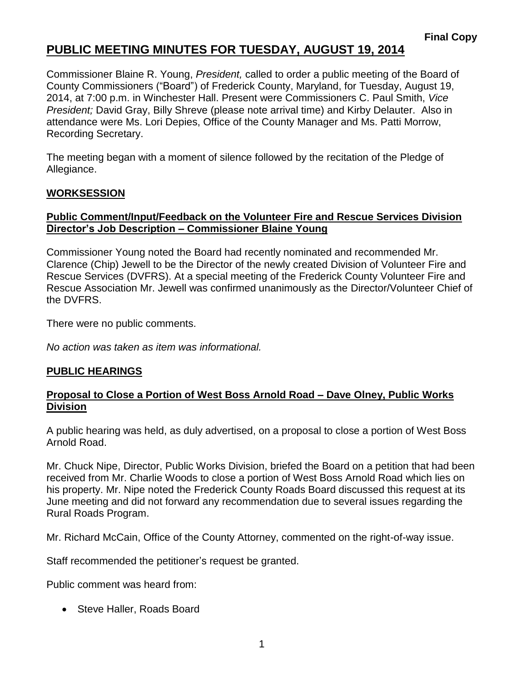# **PUBLIC MEETING MINUTES FOR TUESDAY, AUGUST 19, 2014**

Commissioner Blaine R. Young, *President,* called to order a public meeting of the Board of County Commissioners ("Board") of Frederick County, Maryland, for Tuesday, August 19, 2014, at 7:00 p.m. in Winchester Hall. Present were Commissioners C. Paul Smith, *Vice President;* David Gray, Billy Shreve (please note arrival time) and Kirby Delauter. Also in attendance were Ms. Lori Depies, Office of the County Manager and Ms. Patti Morrow, Recording Secretary.

The meeting began with a moment of silence followed by the recitation of the Pledge of Allegiance.

## **WORKSESSION**

#### **Public Comment/Input/Feedback on the Volunteer Fire and Rescue Services Division Director's Job Description – Commissioner Blaine Young**

Commissioner Young noted the Board had recently nominated and recommended Mr. Clarence (Chip) Jewell to be the Director of the newly created Division of Volunteer Fire and Rescue Services (DVFRS). At a special meeting of the Frederick County Volunteer Fire and Rescue Association Mr. Jewell was confirmed unanimously as the Director/Volunteer Chief of the DVFRS.

There were no public comments.

*No action was taken as item was informational.*

### **PUBLIC HEARINGS**

#### **Proposal to Close a Portion of West Boss Arnold Road – Dave Olney, Public Works Division**

A public hearing was held, as duly advertised, on a proposal to close a portion of West Boss Arnold Road.

Mr. Chuck Nipe, Director, Public Works Division, briefed the Board on a petition that had been received from Mr. Charlie Woods to close a portion of West Boss Arnold Road which lies on his property. Mr. Nipe noted the Frederick County Roads Board discussed this request at its June meeting and did not forward any recommendation due to several issues regarding the Rural Roads Program.

Mr. Richard McCain, Office of the County Attorney, commented on the right-of-way issue.

Staff recommended the petitioner's request be granted.

Public comment was heard from:

• Steve Haller, Roads Board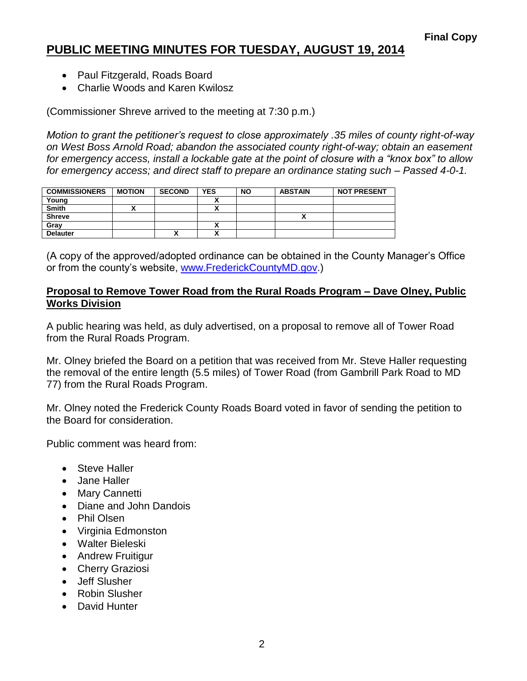# **PUBLIC MEETING MINUTES FOR TUESDAY, AUGUST 19, 2014**

- Paul Fitzgerald, Roads Board
- Charlie Woods and Karen Kwilosz

(Commissioner Shreve arrived to the meeting at 7:30 p.m.)

*Motion to grant the petitioner's request to close approximately .35 miles of county right-of-way on West Boss Arnold Road; abandon the associated county right-of-way; obtain an easement for emergency access, install a lockable gate at the point of closure with a "knox box" to allow for emergency access; and direct staff to prepare an ordinance stating such – Passed 4-0-1.*

| <b>COMMISSIONERS</b> | <b>MOTION</b> | <b>SECOND</b> | <b>YES</b> | <b>NO</b> | <b>ABSTAIN</b> | <b>NOT PRESENT</b> |
|----------------------|---------------|---------------|------------|-----------|----------------|--------------------|
| Young                |               |               |            |           |                |                    |
| <b>Smith</b>         |               |               |            |           |                |                    |
| <b>Shreve</b>        |               |               |            |           |                |                    |
| Gray                 |               |               |            |           |                |                    |
| <b>Delauter</b>      |               |               |            |           |                |                    |

(A copy of the approved/adopted ordinance can be obtained in the County Manager's Office or from the county's website, [www.FrederickCountyMD.gov.](http://www.frederickcountymd.gov/))

#### **Proposal to Remove Tower Road from the Rural Roads Program – Dave Olney, Public Works Division**

A public hearing was held, as duly advertised, on a proposal to remove all of Tower Road from the Rural Roads Program.

Mr. Olney briefed the Board on a petition that was received from Mr. Steve Haller requesting the removal of the entire length (5.5 miles) of Tower Road (from Gambrill Park Road to MD 77) from the Rural Roads Program.

Mr. Olney noted the Frederick County Roads Board voted in favor of sending the petition to the Board for consideration.

Public comment was heard from:

- Steve Haller
- Jane Haller
- Mary Cannetti
- Diane and John Dandois
- Phil Olsen
- Virginia Edmonston
- Walter Bieleski
- Andrew Fruitigur
- Cherry Graziosi
- Jeff Slusher
- Robin Slusher
- David Hunter